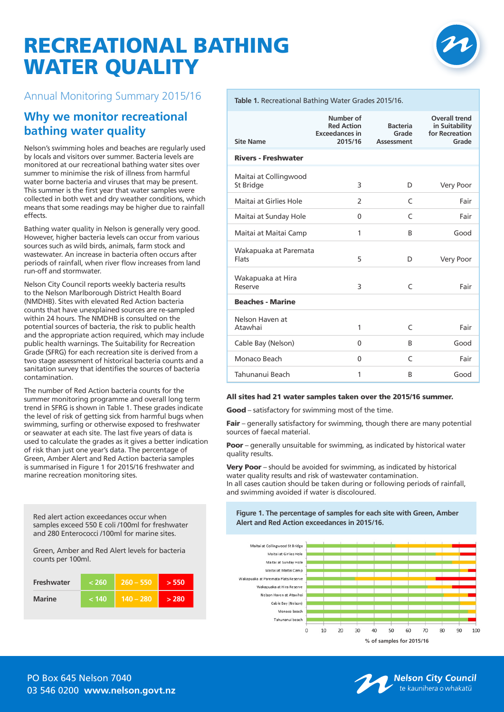# RECREATIONAL BATHING WATER QUALITY



### Annual Monitoring Summary 2015/16

## **Why we monitor recreational bathing water quality**

Nelson's swimming holes and beaches are regularly used by locals and visitors over summer. Bacteria levels are monitored at our recreational bathing water sites over summer to minimise the risk of illness from harmful water borne bacteria and viruses that may be present. This summer is the first year that water samples were collected in both wet and dry weather conditions, which means that some readings may be higher due to rainfall effects.

Bathing water quality in Nelson is generally very good. However, higher bacteria levels can occur from various sources such as wild birds, animals, farm stock and wastewater. An increase in bacteria often occurs after periods of rainfall, when river flow increases from land run-off and stormwater.

Nelson City Council reports weekly bacteria results to the Nelson Marlborough District Health Board (NMDHB). Sites with elevated Red Action bacteria counts that have unexplained sources are re-sampled within 24 hours. The NMDHB is consulted on the potential sources of bacteria, the risk to public health and the appropriate action required, which may include public health warnings. The Suitability for Recreation Grade (SFRG) for each recreation site is derived from a two stage assessment of historical bacteria counts and a sanitation survey that identifies the sources of bacteria contamination.

The number of Red Action bacteria counts for the summer monitoring programme and overall long term trend in SFRG is shown in Table 1. These grades indicate the level of risk of getting sick from harmful bugs when swimming, surfing or otherwise exposed to freshwater or seawater at each site. The last five years of data is used to calculate the grades as it gives a better indication of risk than just one year's data. The percentage of Green, Amber Alert and Red Action bacteria samples is summarised in Figure 1 for 2015/16 freshwater and marine recreation monitoring sites.

Red alert action exceedances occur when samples exceed 550 E coli /100ml for freshwater and 280 Enterococci /100ml for marine sites.

Green, Amber and Red Alert levels for bacteria counts per 100ml.

| Freshwater    | י 260 > | $260 - 550$ | > 550 |
|---------------|---------|-------------|-------|
| <b>Marine</b> | ٰ 140 > | $140 - 280$ | > 280 |

#### **Table 1.** Recreational Bathing Water Grades 2015/16.

| <b>Site Name</b>                      | Number of<br><b>Red Action</b><br><b>Exceedances in</b><br>2015/16 | <b>Bacteria</b><br>Grade<br>Assessment | <b>Overall trend</b><br>in Suitability<br>for Recreation<br>Grade |
|---------------------------------------|--------------------------------------------------------------------|----------------------------------------|-------------------------------------------------------------------|
| <b>Rivers - Freshwater</b>            |                                                                    |                                        |                                                                   |
| Maitai at Collingwood<br>St Bridge    | 3                                                                  | D                                      | Very Poor                                                         |
| Maitai at Girlies Hole                | $\overline{\phantom{a}}$                                           | C                                      | Fair                                                              |
| Maitai at Sunday Hole                 | $\Omega$                                                           | $\epsilon$                             | Fair                                                              |
| Maitai at Maitai Camp                 | 1                                                                  | B                                      | Good                                                              |
| Wakapuaka at Paremata<br><b>Flats</b> | 5                                                                  | D                                      | Very Poor                                                         |
| Wakapuaka at Hira<br>Reserve          | 3                                                                  | C                                      | Fair                                                              |
| <b>Beaches - Marine</b>               |                                                                    |                                        |                                                                   |
| Nelson Haven at<br>Atawhai            | 1                                                                  | C                                      | Fair                                                              |
| Cable Bay (Nelson)                    | $\Omega$                                                           | B                                      | Good                                                              |
| Monaco Beach                          | $\Omega$                                                           | C                                      | Fair                                                              |
| Tahunanui Beach                       | 1                                                                  | B                                      | Good                                                              |

#### All sites had 21 water samples taken over the 2015/16 summer.

Good – satisfactory for swimming most of the time.

Fair - generally satisfactory for swimming, though there are many potential sources of faecal material.

**Poor** – generally unsuitable for swimming, as indicated by historical water quality results.

Very Poor – should be avoided for swimming, as indicated by historical water quality results and risk of wastewater contamination. In all cases caution should be taken during or following periods of rainfall, and swimming avoided if water is discoloured.

**Figure 1. The percentage of samples for each site with Green, Amber Alert and Red Action exceedances in 2015/16.**